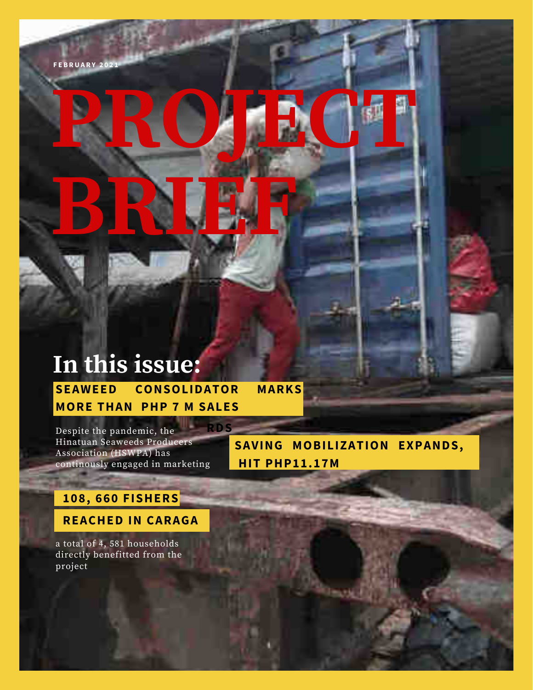## In this issue: **SEAWEED CONSOLIDATOR**

**MORE THAN PHP 7 M SALES** 

Despite the pandemic, the Hinatuan Seaweeds Producers Association (HSWPA) has continously engaged in marketing

SAVING MOBILIZATION EXPANDS, **HIT PHP11.17M** 

**MARKS** 

## 108, 660 FISHERS

**REACHED IN CARAGA** 

a total of 4, 581 households directly benefitted from the project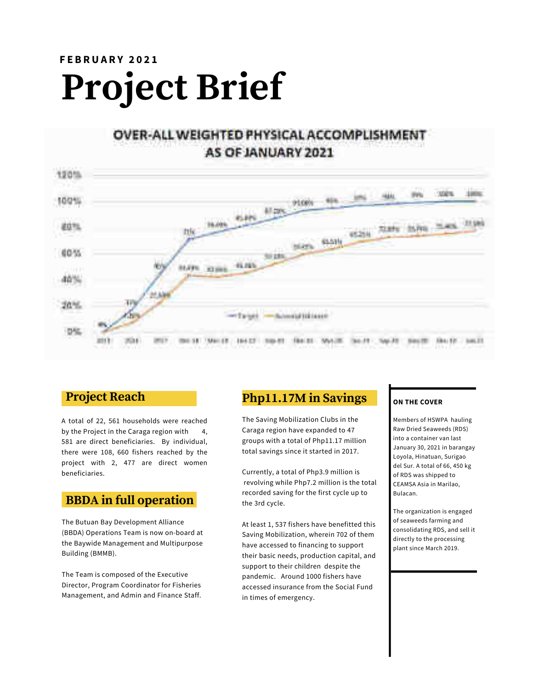## **FEBRUARY 2021 Project Brief**

## OVER-ALL WEIGHTED PHYSICAL ACCOMPLISHMENT AS OF JANUARY 2021



### **Project Reach**

A total of 22, 561 households were reached by the Project in the Caraga region with  $\mathbf{4}$ 581 are direct beneficiaries. By individual, there were 108, 660 fishers reached by the project with 2, 477 are direct women beneficiaries.

## **BBDA** in full operation

The Butuan Bay Development Alliance (BBDA) Operations Team is now on-board at the Baywide Management and Multipurpose Building (BMMB).

The Team is composed of the Executive Director, Program Coordinator for Fisheries Management, and Admin and Finance Staff.

## Php11.17M in Savings

The Saving Mobilization Clubs in the Caraga region have expanded to 47 groups with a total of Php11.17 million total savings since it started in 2017.

Currently, a total of Php3.9 million is revolving while Php7.2 million is the total recorded saving for the first cycle up to the 3rd cycle.

At least 1, 537 fishers have benefitted this Saving Mobilization, wherein 702 of them have accessed to financing to support their basic needs, production capital, and support to their children despite the pandemic. Around 1000 fishers have accessed insurance from the Social Fund in times of emergency.

#### ON THE COVER

Members of HSWPA hauling Raw Dried Seaweeds (RDS) into a container van last January 30, 2021 in barangay Loyola, Hinatuan, Surigao del Sur. A total of 66, 450 kg of RDS was shipped to CEAMSA Asia in Marilao, **Bulacan** 

The organization is engaged of seaweeds farming and consolidating RDS, and sell it directly to the processing plant since March 2019.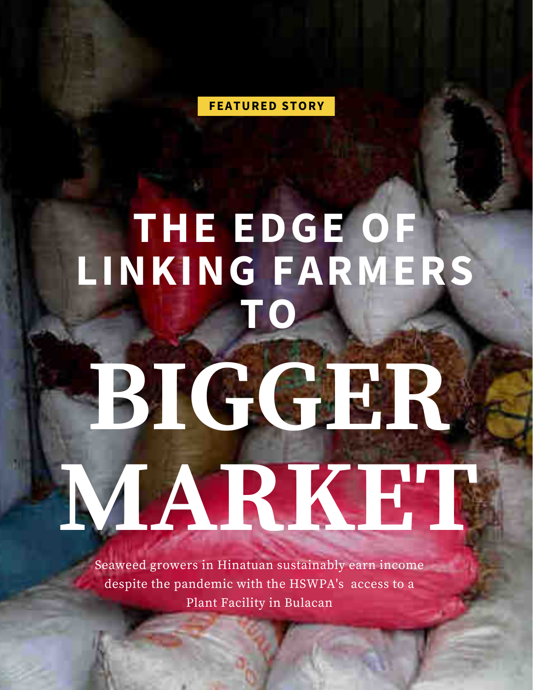**FEATURED STORY** 

## THE EDGE OF<br>LINKING FARMERS TO

# BTCCR MARKET

Seaweed growers in Hinatuan sustainably earn income despite the pandemic with the HSWPA's access to a Plant Facility in Bulacan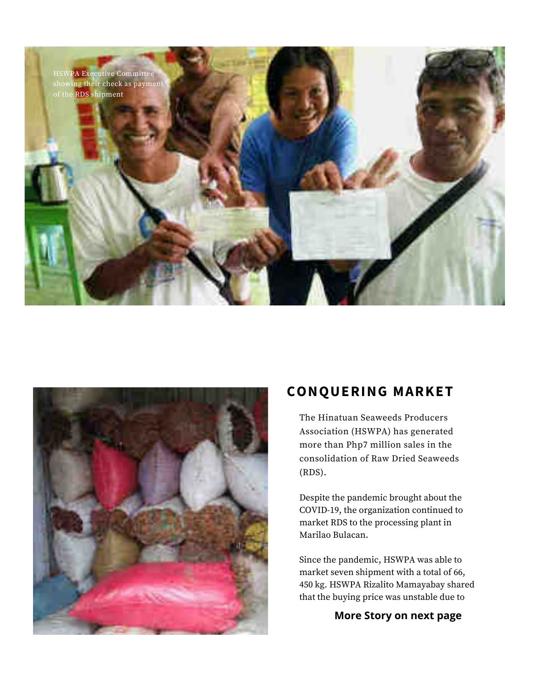



## **CONQUERING MARKET**

The Hinatuan Seaweeds Producers Association (HSWPA) has generated more than Php7 million sales in the consolidation of Raw Dried Seaweeds  $(RDS).$ 

Despite the pandemic brought about the COVID-19, the organization continued to market RDS to the processing plant in Marilao Bulacan.

Since the pandemic, HSWPA was able to market seven shipment with a total of 66, 450 kg. HSWPA Rizalito Mamayabay shared that the buying price was unstable due to

#### More Story on next page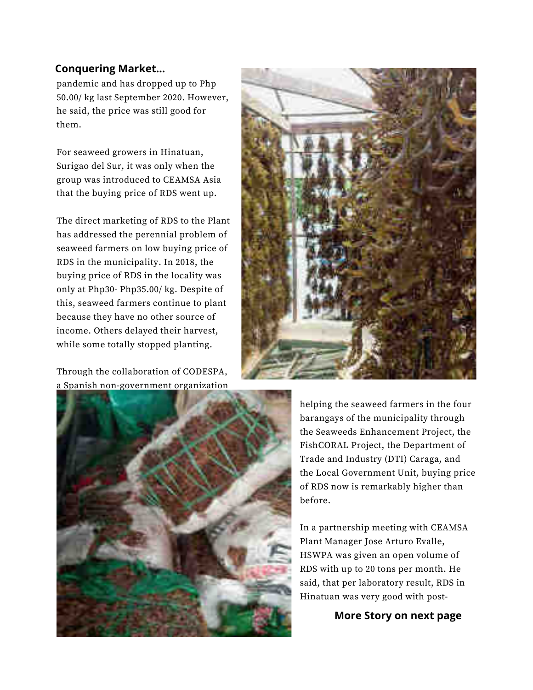#### **Conquering Market...**

pandemic and has dropped up to Php 50.00/ kg last September 2020. However, he said, the price was still good for them.

For seaweed growers in Hinatuan, Surigao del Sur, it was only when the group was introduced to CEAMSA Asia that the buying price of RDS went up.

The direct marketing of RDS to the Plant has addressed the perennial problem of seaweed farmers on low buying price of RDS in the municipality. In 2018, the buying price of RDS in the locality was only at Php30- Php35.00/ kg. Despite of this, seaweed farmers continue to plant because they have no other source of income. Others delayed their harvest, while some totally stopped planting.

Through the collaboration of CODESPA, a Spanish non-government organization





helping the seaweed farmers in the four barangays of the municipality through the Seaweeds Enhancement Project, the FishCORAL Project, the Department of Trade and Industry (DTI) Caraga, and the Local Government Unit, buying price of RDS now is remarkably higher than before.

In a partnership meeting with CEAMSA Plant Manager Jose Arturo Evalle, HSWPA was given an open volume of RDS with up to 20 tons per month. He said, that per laboratory result, RDS in Hinatuan was very good with post-

More Story on next page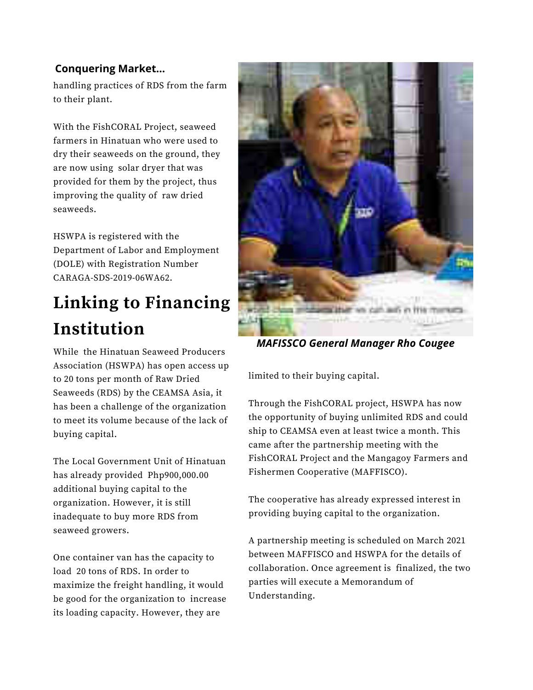### **Conquering Market...**

handling practices of RDS from the farm to their plant.

With the FishCORAL Project, seaweed farmers in Hinatuan who were used to dry their seaweeds on the ground, they are now using solar dryer that was provided for them by the project, thus improving the quality of raw dried seaweeds.

HSWPA is registered with the Department of Labor and Employment (DOLE) with Registration Number CARAGA-SDS-2019-06WA62.

## **Linking to Financing Institution**

While the Hinatuan Seaweed Producers Association (HSWPA) has open access up to 20 tons per month of Raw Dried Seaweeds (RDS) by the CEAMSA Asia, it has been a challenge of the organization to meet its volume because of the lack of buying capital.

The Local Government Unit of Hinatuan has already provided Php900,000.00 additional buying capital to the organization. However, it is still inadequate to buy more RDS from seaweed growers.

One container van has the capacity to load 20 tons of RDS. In order to maximize the freight handling, it would be good for the organization to increase its loading capacity. However, they are



**MAFISSCO General Manager Rho Cougee** 

limited to their buying capital.

Through the FishCORAL project, HSWPA has now the opportunity of buying unlimited RDS and could ship to CEAMSA even at least twice a month. This came after the partnership meeting with the FishCORAL Project and the Mangagoy Farmers and Fishermen Cooperative (MAFFISCO).

The cooperative has already expressed interest in providing buying capital to the organization.

A partnership meeting is scheduled on March 2021 between MAFFISCO and HSWPA for the details of collaboration. Once agreement is finalized, the two parties will execute a Memorandum of Understanding.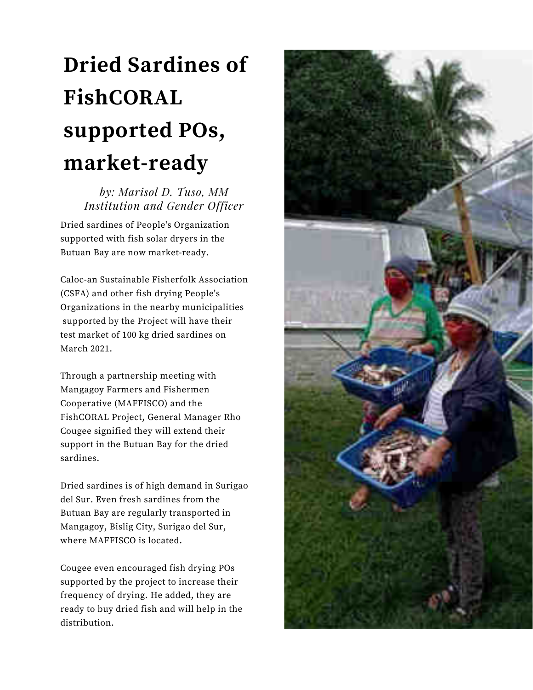## **Dried Sardines of** FishCORAL supported POs, market-ready

by: Marisol D. Tuso, MM **Institution and Gender Officer** 

Dried sardines of People's Organization supported with fish solar dryers in the Butuan Bay are now market-ready.

Caloc-an Sustainable Fisherfolk Association (CSFA) and other fish drying People's Organizations in the nearby municipalities supported by the Project will have their test market of 100 kg dried sardines on March 2021.

Through a partnership meeting with Mangagoy Farmers and Fishermen Cooperative (MAFFISCO) and the FishCORAL Project, General Manager Rho Cougee signified they will extend their support in the Butuan Bay for the dried sardines.

Dried sardines is of high demand in Surigao del Sur. Even fresh sardines from the Butuan Bay are regularly transported in Mangagoy, Bislig City, Surigao del Sur, where MAFFISCO is located.

Cougee even encouraged fish drying POs supported by the project to increase their frequency of drying. He added, they are ready to buy dried fish and will help in the distribution.

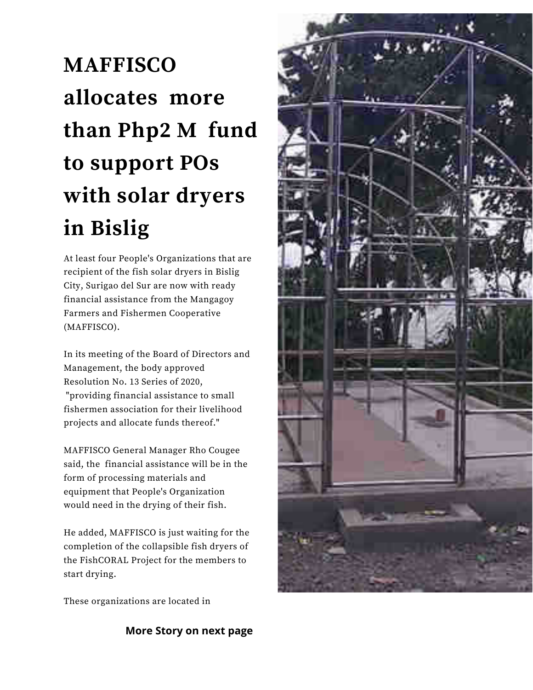## **MAFFISCO** allocates more than Php2 M fund to support POs with solar dryers in Bislig

At least four People's Organizations that are recipient of the fish solar dryers in Bislig City, Surigao del Sur are now with ready financial assistance from the Mangagoy Farmers and Fishermen Cooperative (MAFFISCO).

In its meeting of the Board of Directors and Management, the body approved Resolution No. 13 Series of 2020, "providing financial assistance to small fishermen association for their livelihood projects and allocate funds thereof."

MAFFISCO General Manager Rho Cougee said, the financial assistance will be in the form of processing materials and equipment that People's Organization would need in the drying of their fish.

He added, MAFFISCO is just waiting for the completion of the collapsible fish dryers of the FishCORAL Project for the members to start drying.

These organizations are located in

**More Story on next page** 

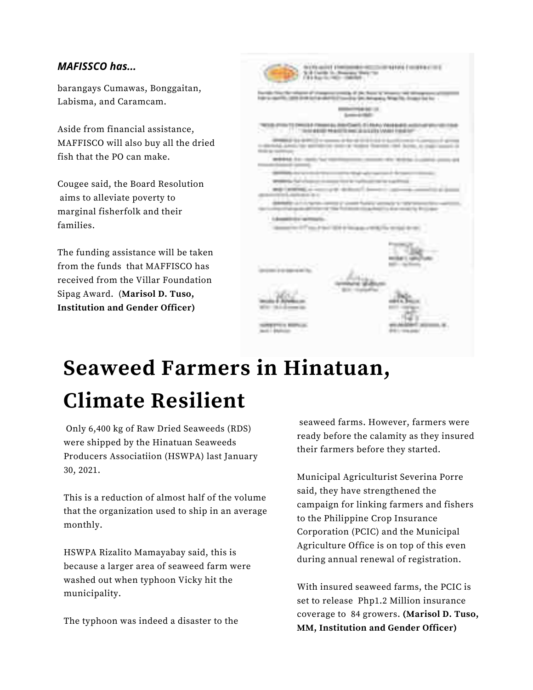#### **MAFISSCO has...**

barangays Cumawas, Bonggaitan, Labisma, and Caramcam.

Aside from financial assistance, MAFFISCO will also buy all the dried fish that the PO can make.

Cougee said, the Board Resolution aims to alleviate poverty to marginal fisherfolk and their families.

The funding assistance will be taken from the funds that MAFFISCO has received from the Villar Foundation Sipag Award. (Marisol D. Tuso, **Institution and Gender Officer)** 

|                                                  |                                                                                                                                                                                         | and the feature of the<br>and Antoning Miles (Massach for No. 1                                                                                                                     |
|--------------------------------------------------|-----------------------------------------------------------------------------------------------------------------------------------------------------------------------------------------|-------------------------------------------------------------------------------------------------------------------------------------------------------------------------------------|
|                                                  | <b>STATISTICS</b>                                                                                                                                                                       | <b>Dear Cold</b>                                                                                                                                                                    |
| a sa ngu                                         |                                                                                                                                                                                         | TWO EXPERIENCES TO THROUGH A PRESENT GLU SHAFT COMPTLINE IN ENGINEERING CONTROLLED WAS CITED FOR<br>The constitution and additional constitution of the American Constitution Corp. |
|                                                  | distributed chemical time approximation chemically theories of<br><b>RESIDENCE OF A REPORT OF A REPORT OF A REPORT OF A REPORT OF A REPORT OF A REPORT OF A REPORT OF A REPORT OF A</b> | - MARKETA ANTIFICATION AND ACCOUNTANT CONTINUES.<br>anning that became a copper<br>2227 237 -                                                                                       |
|                                                  | WRITE IN OUR TACTES IN CONTRACTOR COMMON IN THE                                                                                                                                         |                                                                                                                                                                                     |
| and the con-                                     |                                                                                                                                                                                         | an original in some that is continued by the battle                                                                                                                                 |
|                                                  | --<br>and annual a second defend beach<br>and the second control of the con-                                                                                                            |                                                                                                                                                                                     |
| and the control of the con-<br><b>CONTRACTOR</b> | and the control of the con-<br>The contract of the series of the contract of the contract of the contract of                                                                            | <b>Service Contract</b><br>and the rest that follows this possible due on acts in books.                                                                                            |
|                                                  | the process and the competition of the                                                                                                                                                  |                                                                                                                                                                                     |
|                                                  | Construction of the American State<br>the party and the control of the control                                                                                                          | <b>STORY AND LOCATED</b>                                                                                                                                                            |
|                                                  |                                                                                                                                                                                         |                                                                                                                                                                                     |
|                                                  | a manage company and                                                                                                                                                                    |                                                                                                                                                                                     |
|                                                  | continues are convenient for.                                                                                                                                                           |                                                                                                                                                                                     |
|                                                  |                                                                                                                                                                                         |                                                                                                                                                                                     |
|                                                  |                                                                                                                                                                                         |                                                                                                                                                                                     |
|                                                  |                                                                                                                                                                                         |                                                                                                                                                                                     |
| <b>METRO COLOR CONTRACTOR</b><br>TO prove        |                                                                                                                                                                                         |                                                                                                                                                                                     |

## **Seaweed Farmers in Hinatuan, Climate Resilient**

Only 6,400 kg of Raw Dried Seaweeds (RDS) were shipped by the Hinatuan Seaweeds Producers Associatiion (HSWPA) last January 30, 2021.

This is a reduction of almost half of the volume that the organization used to ship in an average monthly.

HSWPA Rizalito Mamayabay said, this is because a larger area of seaweed farm were washed out when typhoon Vicky hit the municipality.

The typhoon was indeed a disaster to the

seaweed farms. However, farmers were ready before the calamity as they insured their farmers before they started.

Municipal Agriculturist Severina Porre said, they have strengthened the campaign for linking farmers and fishers to the Philippine Crop Insurance Corporation (PCIC) and the Municipal Agriculture Office is on top of this even during annual renewal of registration.

With insured seaweed farms, the PCIC is set to release Php1.2 Million insurance coverage to 84 growers. (Marisol D. Tuso, MM, Institution and Gender Officer)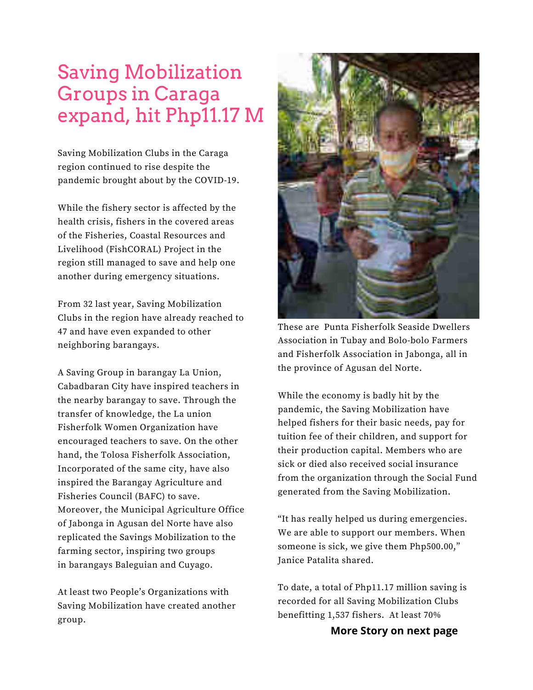## **Saving Mobilization Groups in Caraga** expand, hit Php11.17 M

Saving Mobilization Clubs in the Caraga region continued to rise despite the pandemic brought about by the COVID-19.

While the fishery sector is affected by the health crisis, fishers in the covered areas of the Fisheries, Coastal Resources and Livelihood (FishCORAL) Project in the region still managed to save and help one another during emergency situations.

From 32 last year, Saving Mobilization Clubs in the region have already reached to 47 and have even expanded to other neighboring barangays.

A Saving Group in barangay La Union, Cabadbaran City have inspired teachers in the nearby barangay to save. Through the transfer of knowledge, the La union Fisherfolk Women Organization have encouraged teachers to save. On the other hand, the Tolosa Fisherfolk Association, Incorporated of the same city, have also inspired the Barangay Agriculture and Fisheries Council (BAFC) to save. Moreover, the Municipal Agriculture Office of Jabonga in Agusan del Norte have also replicated the Savings Mobilization to the farming sector, inspiring two groups in barangays Baleguian and Cuyago.

At least two People's Organizations with Saving Mobilization have created another group.



These are Punta Fisherfolk Seaside Dwellers Association in Tubay and Bolo-bolo Farmers and Fisherfolk Association in Jabonga, all in the province of Agusan del Norte.

While the economy is badly hit by the pandemic, the Saving Mobilization have helped fishers for their basic needs, pay for tuition fee of their children, and support for their production capital. Members who are sick or died also received social insurance from the organization through the Social Fund generated from the Saving Mobilization.

"It has really helped us during emergencies. We are able to support our members. When someone is sick, we give them Php500.00," Janice Patalita shared.

To date, a total of Php11.17 million saving is recorded for all Saving Mobilization Clubs benefitting 1,537 fishers. At least 70%

More Story on next page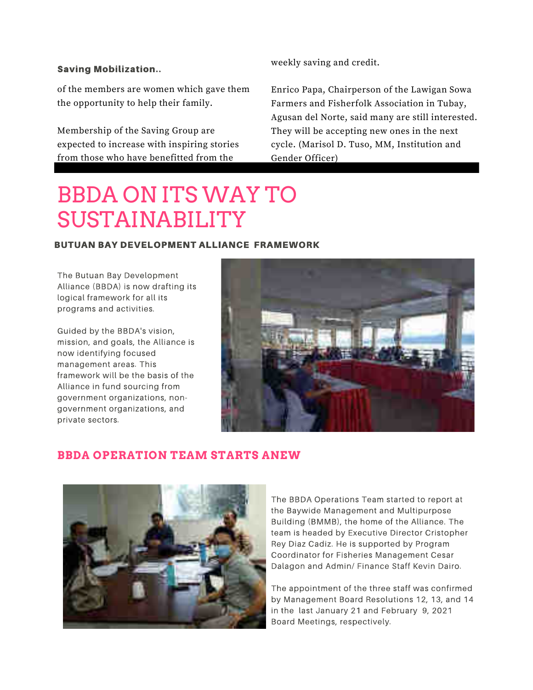#### **Saving Mobilization..**

of the members are women which gave them the opportunity to help their family.

Membership of the Saving Group are expected to increase with inspiring stories from those who have benefitted from the

weekly saving and credit.

Enrico Papa, Chairperson of the Lawigan Sowa Farmers and Fisherfolk Association in Tubay, Agusan del Norte, said many are still interested. They will be accepting new ones in the next cycle. (Marisol D. Tuso, MM, Institution and Gender Officer)

## **BBDA ON ITS WAY TO SUSTAINABILITY**

#### **BUTUAN BAY DEVELOPMENT ALLIANCE FRAMEWORK**

The Butuan Bay Development Alliance (BBDA) is now drafting its logical framework for all its programs and activities.

Guided by the BBDA's vision, mission, and goals, the Alliance is now identifying focused management areas. This framework will be the basis of the Alliance in fund sourcing from government organizations, nongovernment organizations, and private sectors.



### **BBDA OPERATION TEAM STARTS ANEW**



The BBDA Operations Team started to report at the Baywide Management and Multipurpose Building (BMMB), the home of the Alliance. The team is headed by Executive Director Cristopher Rey Diaz Cadiz. He is supported by Program Coordinator for Fisheries Management Cesar Dalagon and Admin/ Finance Staff Kevin Dairo.

The appointment of the three staff was confirmed by Management Board Resolutions 12, 13, and 14 in the last January 21 and February 9, 2021 Board Meetings, respectively.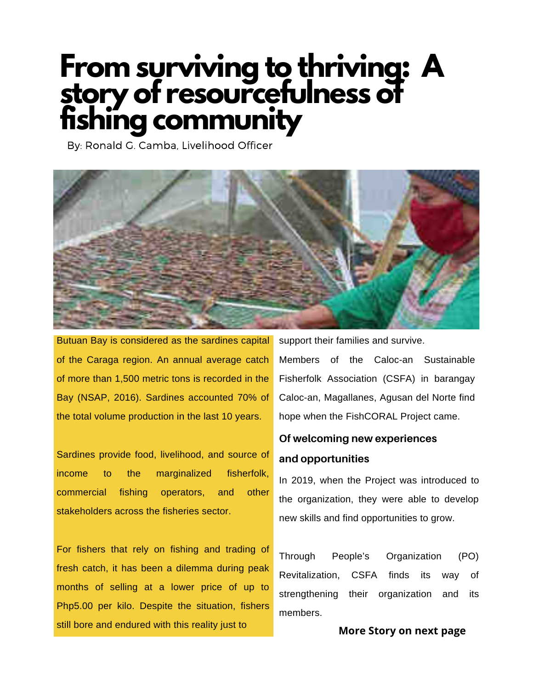# From surviving to thriving: A<br>story of resourcefulness of<br>fishing community

By: Ronald G. Camba, Livelihood Officer



Butuan Bay is considered as the sardines capital of the Caraga region. An annual average catch of more than 1,500 metric tons is recorded in the Bay (NSAP, 2016). Sardines accounted 70% of the total volume production in the last 10 years.

Sardines provide food, livelihood, and source of income to the marginalized fisherfolk, commercial fishing operators, and other stakeholders across the fisheries sector.

For fishers that rely on fishing and trading of fresh catch, it has been a dilemma during peak months of selling at a lower price of up to Php5.00 per kilo. Despite the situation, fishers still bore and endured with this reality just to

support their families and survive.

Members of the Caloc-an Sustainable Fisherfolk Association (CSFA) in barangay Caloc-an, Magallanes, Agusan del Norte find hope when the FishCORAL Project came.

## Of welcoming new experiences and opportunities

In 2019, when the Project was introduced to the organization, they were able to develop new skills and find opportunities to grow.

Through People's Organization  $(PO)$ Revitalization. **CSFA** finds <sub>of</sub> its strengthening their organization and its members.

#### More Story on next page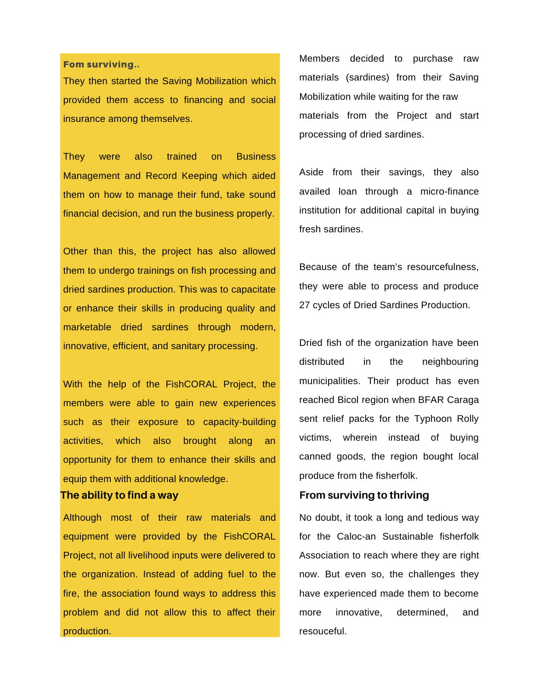#### Fom surviving..

They then started the Saving Mobilization which provided them access to financing and social insurance among themselves.

**They** were also trained on **Business** Management and Record Keeping which aided them on how to manage their fund, take sound financial decision, and run the business properly.

Other than this, the project has also allowed them to undergo trainings on fish processing and dried sardines production. This was to capacitate or enhance their skills in producing quality and marketable dried sardines through modern, innovative, efficient, and sanitary processing.

With the help of the FishCORAL Project, the members were able to gain new experiences such as their exposure to capacity-building activities, which also brought along an opportunity for them to enhance their skills and equip them with additional knowledge.

#### The ability to find a way

Although most of their raw materials and equipment were provided by the FishCORAL Project, not all livelihood inputs were delivered to the organization. Instead of adding fuel to the fire, the association found ways to address this problem and did not allow this to affect their production.

Members decided to purchase raw materials (sardines) from their Saving Mobilization while waiting for the raw materials from the Project and start processing of dried sardines.

Aside from their savings, they also availed loan through a micro-finance institution for additional capital in buying fresh sardines.

Because of the team's resourcefulness, they were able to process and produce 27 cycles of Dried Sardines Production.

Dried fish of the organization have been distributed in the neighbouring municipalities. Their product has even reached Bicol region when BFAR Caraga sent relief packs for the Typhoon Rolly victims, wherein instead of buying canned goods, the region bought local produce from the fisherfolk.

#### From surviving to thriving

No doubt, it took a long and tedious way for the Caloc-an Sustainable fisherfolk Association to reach where they are right now. But even so, the challenges they have experienced made them to become more innovative. determined. and resouceful.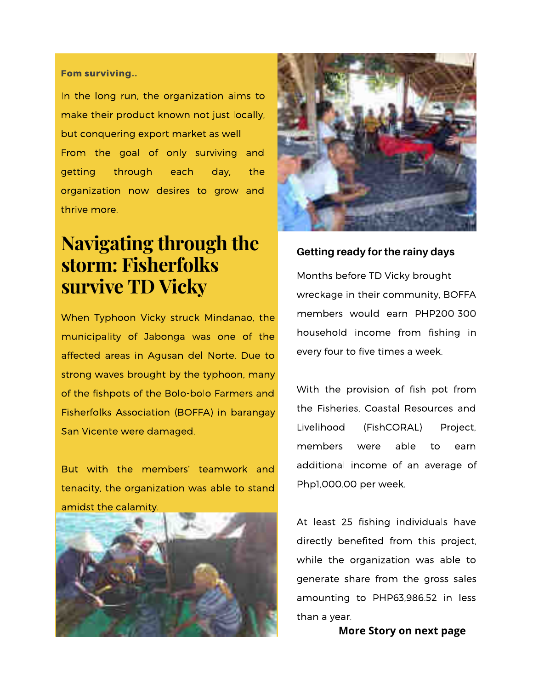#### Fom surviving..

In the long run, the organization aims to make their product known not just locally, but conquering export market as well From the goal of only surviving and getting through each day, the organization now desires to grow and thrive more.

## **Navigating through the** storm: Fisherfolks survive TD Vicky

When Typhoon Vicky struck Mindanao, the municipality of Jabonga was one of the affected areas in Agusan del Norte. Due to strong waves brought by the typhoon, many of the fishpots of the Bolo-bolo Farmers and Fisherfolks Association (BOFFA) in barangay San Vicente were damaged.

But with the members' teamwork and tenacity, the organization was able to stand amidst the calamity.





#### Getting ready for the rainy days

Months before TD Vicky brought wreckage in their community, BOFFA members would earn PHP200-300 household income from fishing in every four to five times a week.

With the provision of fish pot from the Fisheries. Coastal Resources and Livelihood (FishCORAL) Project, members able were to earn additional income of an average of Php1,000.00 per week.

At least 25 fishing individuals have directly benefited from this project, while the organization was able to generate share from the gross sales amounting to PHP63,986.52 in less than a year.

More Story on next page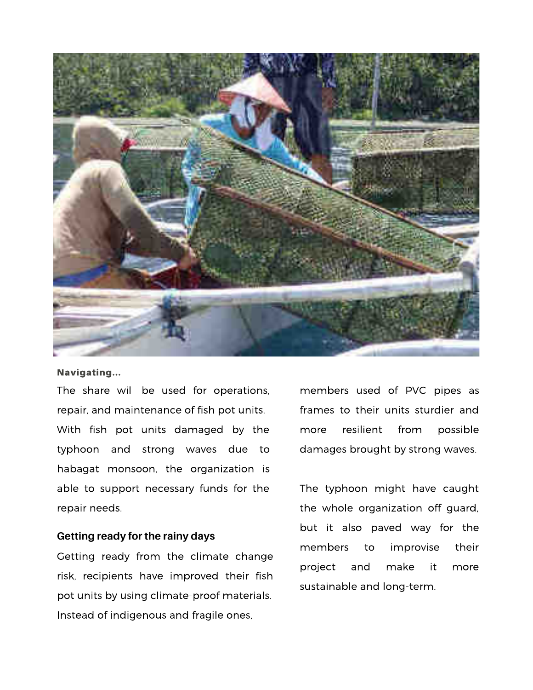

#### Navigating...

The share will be used for operations, repair, and maintenance of fish pot units. With fish pot units damaged by the typhoon and strong waves due to habagat monsoon, the organization is able to support necessary funds for the repair needs.

#### Getting ready for the rainy days

Getting ready from the climate change risk, recipients have improved their fish pot units by using climate-proof materials. Instead of indigenous and fragile ones,

members used of PVC pipes as frames to their units sturdier and resilient possible from more damages brought by strong waves.

The typhoon might have caught the whole organization off guard, but it also paved way for the improvise members to their make project and it more sustainable and long-term.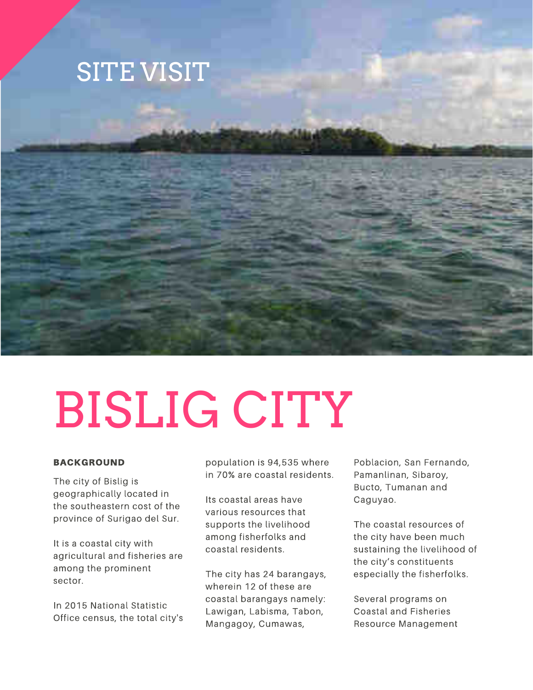



#### **BACKGROUND**

The city of Bislig is geographically located in the southeastern cost of the province of Surigao del Sur.

It is a coastal city with agricultural and fisheries are among the prominent sector.

In 2015 National Statistic Office census, the total city's

population is 94,535 where in 70% are coastal residents.

Its coastal areas have various resources that supports the livelihood among fisherfolks and coastal residents.

The city has 24 barangays, wherein 12 of these are coastal barangays namely: Lawigan, Labisma, Tabon, Mangagoy, Cumawas,

Poblacion, San Fernando, Pamanlinan, Sibaroy, Bucto, Tumanan and Caguyao.

The coastal resources of the city have been much sustaining the livelihood of the city's constituents especially the fisherfolks.

Several programs on **Coastal and Fisheries** Resource Management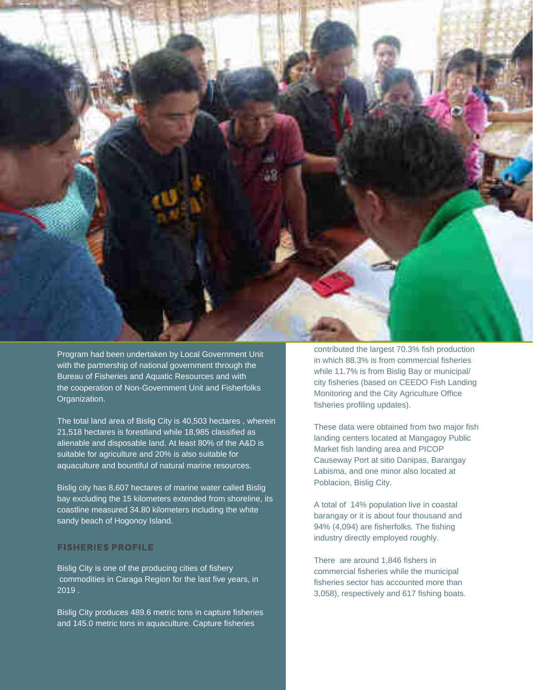

Program had been undertaken by Local Government Unit with the partnership of national government through the Bureau of Fisheries and Aquatic Resources and with the cooperation of Non-Government Unit and Fisherfolks Organization.

The total land area of Bislig City is 40,503 hectares, wherein 21,518 hectares is forestland while 18,985 classified as alienable and disposable land. At least 80% of the A&D is suitable for agriculture and 20% is also suitable for aquaculture and bountiful of natural marine resources.

Bislig city has 8,607 hectares of marine water called Bislig bay excluding the 15 kilometers extended from shoreline, its coastline measured 34.80 kilometers including the white sandy beach of Hogonoy Island.

#### **FISHERIES PROFILE**

Bislig City is one of the producing cities of fishery commodities in Caraga Region for the last five years, in  $2019.$ 

Bislig City produces 489.6 metric tons in capture fisheries and 145.0 metric tons in aquaculture. Capture fisheries

contributed the largest 70.3% fish production in which 88.3% is from commercial fisheries while 11.7% is from Bislig Bay or municipal/ city fisheries (based on CEEDO Fish Landing Monitoring and the City Agriculture Office fisheries profiling updates).

These data were obtained from two major fish landing centers located at Mangagoy Public Market fish landing area and PICOP Causeway Port at sitio Danipas, Barangay Labisma, and one minor also located at Poblacion, Bislig City.

A total of 14% population live in coastal barangay or it is about four thousand and 94% (4,094) are fisherfolks. The fishing industry directly employed roughly.

There are around 1,846 fishers in commercial fisheries while the municipal fisheries sector has accounted more than 3,058), respectively and 617 fishing boats.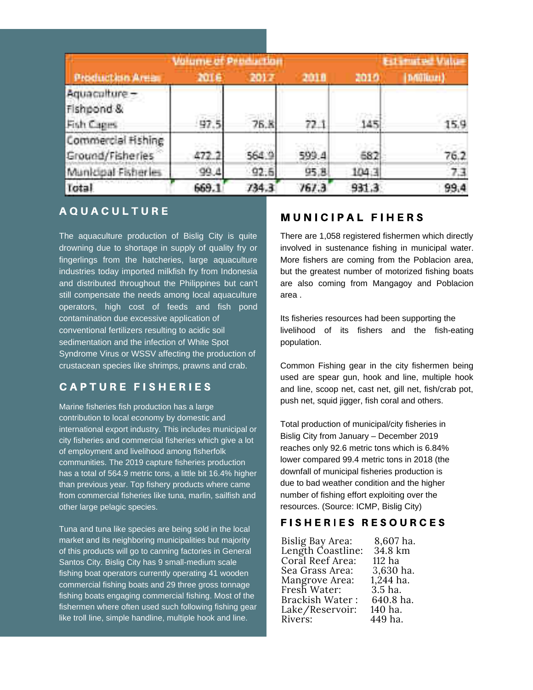| <b>Witnest Press right</b>                |             |             | Ed. Futte Value |             |      |
|-------------------------------------------|-------------|-------------|-----------------|-------------|------|
| <b>Production Area</b>                    | <b>NOTE</b> | 2017        | 2018            | 2010        |      |
| Aquaculture -<br>Fishpond &<br>Fish Cages | 97.5        | <b>76.K</b> | 72.1            | TA 6<br>145 | 15.9 |
| Commercial Hishing<br>Ground/Fisheries    | mm.         | 564.9       | 599.4           | 682         | 76.2 |
| Municipal Fisheries                       | 99.4        | 92.5        | 95, 8           | 104.3       | 7.3  |
| Total                                     | 669.1       | 734.3       | 767.3           | 931.3       | 99.4 |

### **AQUACULTURE**

The aquaculture production of Bislig City is quite drowning due to shortage in supply of quality fry or fingerlings from the hatcheries, large aquaculture industries today imported milkfish fry from Indonesia and distributed throughout the Philippines but can't still compensate the needs among local aquaculture operators, high cost of feeds and fish pond contamination due excessive application of conventional fertilizers resulting to acidic soil sedimentation and the infection of White Spot Syndrome Virus or WSSV affecting the production of crustacean species like shrimps, prawns and crab.

### **CAPTURE FISHERIES**

Marine fisheries fish production has a large contribution to local economy by domestic and international export industry. This includes municipal or city fisheries and commercial fisheries which give a lot of employment and livelihood among fisherfolk communities. The 2019 capture fisheries production has a total of 564.9 metric tons, a little bit 16.4% higher than previous year. Top fishery products where came from commercial fisheries like tuna, marlin, sailfish and other large pelagic species.

Tuna and tuna like species are being sold in the local market and its neighboring municipalities but majority of this products will go to canning factories in General Santos City. Bislig City has 9 small-medium scale fishing boat operators currently operating 41 wooden commercial fishing boats and 29 three gross tonnage fishing boats engaging commercial fishing. Most of the fishermen where often used such following fishing gear like troll line, simple handline, multiple hook and line.

#### **MUNICIPAL FIHERS**

There are 1.058 registered fishermen which directly involved in sustenance fishing in municipal water. More fishers are coming from the Poblacion area, but the greatest number of motorized fishing boats are also coming from Mangagoy and Poblacion area.

Its fisheries resources had been supporting the livelihood of its fishers and the fish-eating population.

Common Fishing gear in the city fishermen being used are spear gun, hook and line, multiple hook and line, scoop net, cast net, gill net, fish/crab pot, push net, squid jigger, fish coral and others.

Total production of municipal/city fisheries in Bislig City from January - December 2019 reaches only 92.6 metric tons which is 6.84% lower compared 99.4 metric tons in 2018 (the downfall of municipal fisheries production is due to bad weather condition and the higher number of fishing effort exploiting over the resources. (Source: ICMP, Bislig City)

#### **FISHERIES RESOURCES**

8.607 ha. Bislig Bay Area: Length Coastline: 34.8 km Coral Reef Area: 112 ha 3.630 ha. Sea Grass Area:  $1,244$  ha. Mangrove Area: Fresh Water:  $3.5$  ha. 640.8 ha. **Brackish Water:** Lake/Reservoir: 140 ha. 449 ha. Rivers: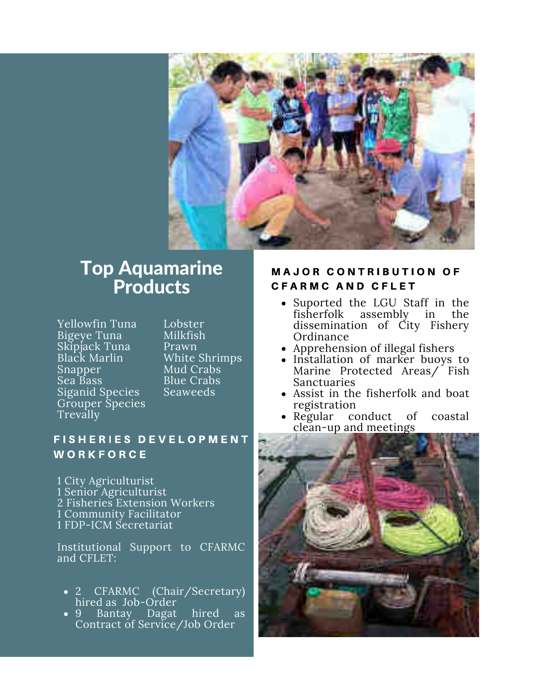

## **Top Aquamarine Products**

Yellowfin Tuna Bigeye Tuna Skipjack Tuna Black Marlin Snapper Sea Bass Siganid Species Grouper Species **Trevally** 

Lobster **Milkfish** Prawn White Shrimps Mud Crabs **Blue Crabs Seaweeds** 

## **FISHERIES DEVELOPMENT** WORKFORCE

1 City Agriculturist 1 Senior Agriculturist 2 Fisheries Extension Workers 1 Community Facilitator 1 FDP-ICM Secretariat

Institutional Support to CFARMC and CFLET:

- CFARMC (Chair/Secretary)  $\overline{2}$ hired as Job-Order
- 9 Bantay Dagat hired as Contract of Service/Job Order

### **MAJOR CONTRIBUTION OF CFARMC AND CFLET**

- Suported the LGU Staff in the fisherfolk assembly in the dissemination of City Fishery Ordinance
- Apprehension of illegal fishers
- Installation of marker buoys to Marine Protected Areas/ Fish **Sanctuaries**
- Assist in the fisherfolk and boat registration
- Regular conduct of coastal clean-up and meetings

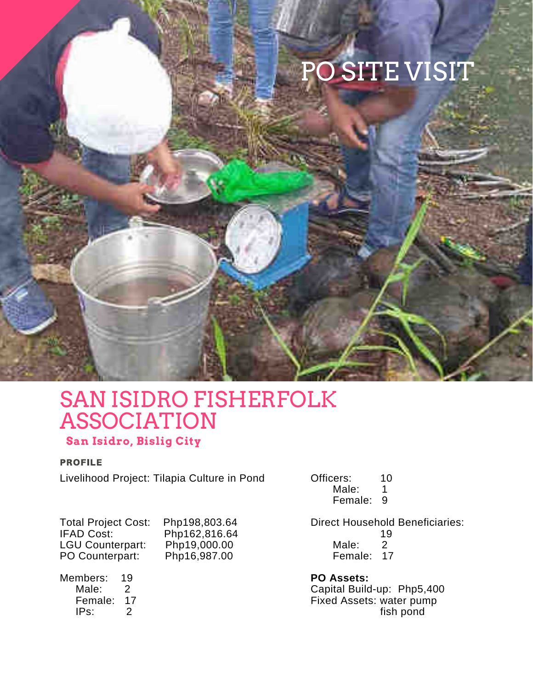## PO SITE VISIT

## **SAN ISIDRO FISHERFOLK ASSOCIATION**

## San Isidro, Bislig City

#### **PROFILE**

Livelihood Project: Tilapia Culture in Pond

Officers: 10 Male:  $\mathbf{1}$ Female: 9

**Total Project Cost: IFAD Cost: LGU Counterpart:** PO Counterpart:

Php198,803.64 Php162,816.64 Php19,000.00 Php16,987.00

Members: 19 Male:  $\overline{2}$ Female: 17  $IPS:$  $\mathcal{P}$ 

**Direct Household Beneficiaries:** 19 Male:  $\overline{2}$ Female: 17

**PO Assets:** Capital Build-up: Php5,400 Fixed Assets: water pump fish pond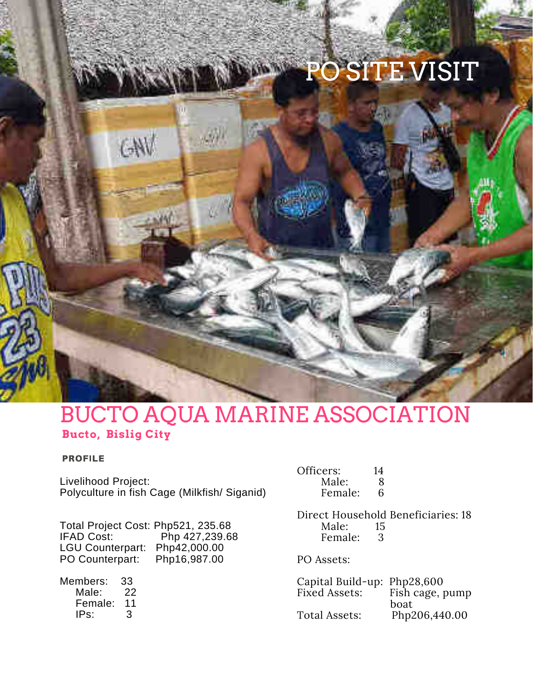## PO SITE VISIT

## **BUCTO AQUA MARINE ASSOCIATION Bucto, Bislig City**

#### **PROFILE**

Livelihood Project: Polyculture in fish Cage (Milkfish/Siganid)

Total Project Cost: Php521, 235.68 **IFAD Cost:** Php 427,239.68 LGU Counterpart: Php42,000.00 Php16,987.00 PO Counterpart:

 $W$ 

Members: 33 Male: 22 Female: 11 IPs: 3

| Officers: | 14 |
|-----------|----|
| Male:     | 8  |
| Female:   | 6  |

Direct Household Beneficiaries: 18 Male: 15 Female: 3

PO Assets:

Capital Build-up: Php28,600 Fixed Assets: Fish cage, pump boat Php206,440.00 **Total Assets:**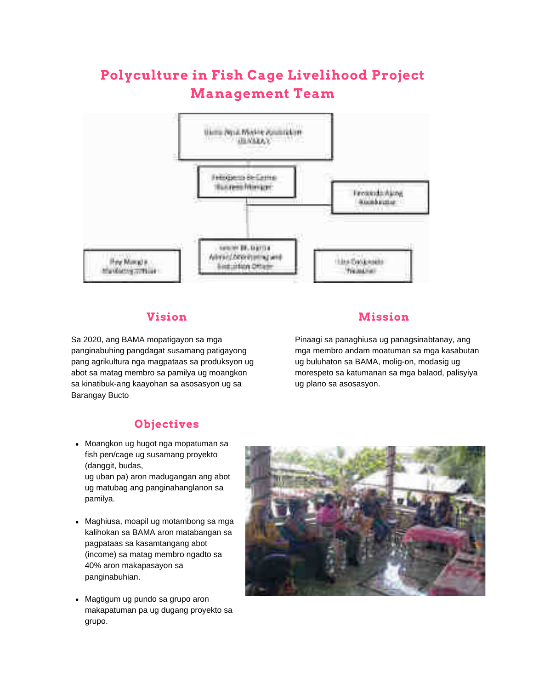## Polyculture in Fish Cage Livelihood Project **Management Team**



### **Vision**

Sa 2020, ang BAMA mopatigayon sa mga panginabuhing pangdagat susamang patigayong pang agrikultura nga magpataas sa produksyon ug abot sa matag membro sa pamilya ug moangkon sa kinatibuk-ang kaayohan sa asosasyon ug sa **Barangay Bucto** 

## **Mission**

Pinaagi sa panaghiusa ug panagsinabtanay, ang mga membro andam moatuman sa mga kasabutan ug buluhaton sa BAMA, molig-on, modasig ug morespeto sa katumanan sa mga balaod, palisyiya ug plano sa asosasyon.

#### **Objectives**

• Moangkon ug hugot nga mopatuman sa fish pen/cage ug susamang proyekto (danggit, budas, ug uban pa) aron madugangan ang abot

ug matubag ang panginahanglanon sa pamilya.

- Maghiusa, moapil ug motambong sa mga kalihokan sa BAMA aron matabangan sa pagpataas sa kasamtangang abot (income) sa matag membro ngadto sa 40% aron makapasayon sa panginabuhian.
- Magtigum ug pundo sa grupo aron makapatuman pa ug dugang proyekto sa grupo.

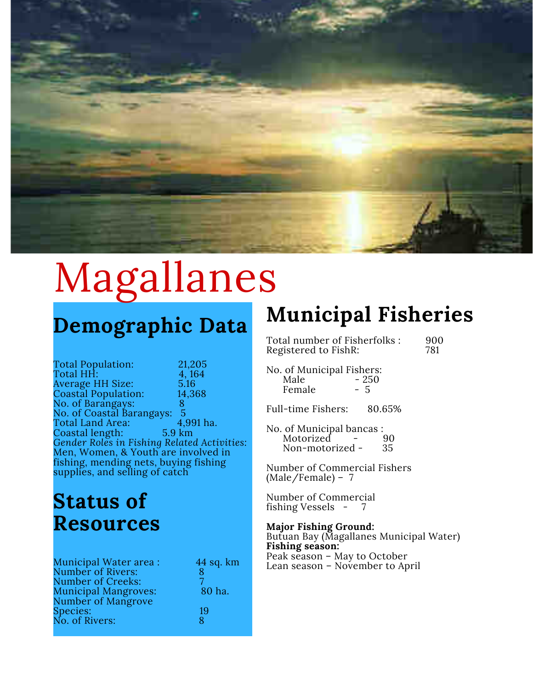

## Magallanes

## Demographic Data

**Total Population:** 21,205 Total HH: 4,164 Average HH Size: 5.16 **Coastal Population:** 14,368 No. of Barangays: 8 No. of Coastal Barangays: -5 4,991 ha. Total Land Area: Coastal length: 5.9 km Gender Roles in Fishing Related Activities: Men, Women, & Youth are involved in fishing, mending nets, buying fishing supplies, and selling of catch

## **Status of Resources**

| 44 sq. km |
|-----------|
| 8         |
|           |
| 80 ha.    |
|           |
| 19        |
| ጸ         |
|           |

## **Municipal Fisheries**

Total number of Fisherfolks: Registered to FishR:

900 781

No. of Municipal Fishers: Male  $-250$ Female  $-5$ 

**Full-time Fishers:** 80.65%

No. of Municipal bancas: Motorized 90 Non-motorized -35

Number of Commercial Fishers  $(Male/Female) - 7$ 

Number of Commercial fishing Vessels - 7

#### **Major Fishing Ground:**

Butuan Bay (Magallanes Municipal Water) Fishing season: Peak season - May to October Lean season - November to April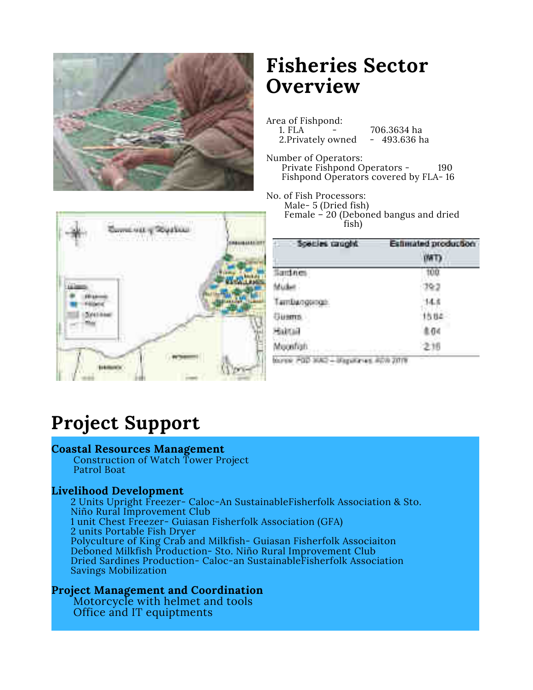

## **Fisheries Sector Overview**

Area of Fishpond: 1. FLA 706.3634 ha 2. Privately owned  $-493.636$  ha

Number of Operators: Private Fishpond Operators -190 Fishpond Operators covered by FLA-16

No. of Fish Processors: Male-5 (Dried fish) Female - 20 (Deboned bangus and dried fish)



| Species caught                                         | <b>Estimated production</b>                |
|--------------------------------------------------------|--------------------------------------------|
| નીંશક                                                  |                                            |
|                                                        | G-3                                        |
| avrgona<br><b>Contract</b>                             |                                            |
|                                                        |                                            |
|                                                        |                                            |
| jedigh<br>w                                            |                                            |
| and the first that the first term of the con-<br>a a s | <b>SERVICE STATISTICS</b><br>m<br>m<br>n m |

45.45% JUST

## **Project Support**

#### **Coastal Resources Management**

Construction of Watch Tower Project **Patrol Boat** 

#### **Livelihood Development**

2 Units Upright Freezer- Caloc-An Sustainable Fisherfolk Association & Sto. Niño Rural Improvement Club 1 unit Chest Freezer- Guiasan Fisherfolk Association (GFA) 2 units Portable Fish Dryer Polyculture of King Crab and Milkfish- Guiasan Fisherfolk Associaiton Deboned Milkfish Production- Sto. Niño Rural Improvement Club Dried Sardines Production- Caloc-an SustainableFisherfolk Association **Savings Mobilization** 

#### **Project Management and Coordination**

Motorcycle with helmet and tools Office and IT equiptments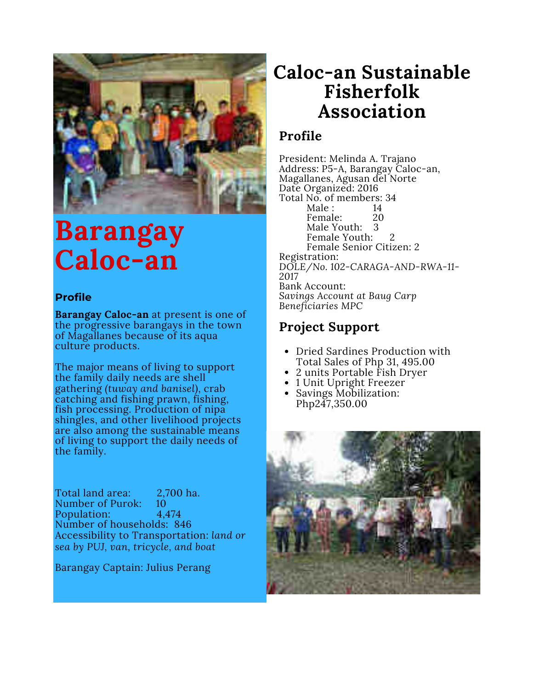

## Barangay Caloc-an

### **Profile**

**Barangay Caloc-an** at present is one of the progressive barangays in the town of Magallanes because of its aqua culture products.

The major means of living to support the family daily needs are shell gathering *(tuway and banisel)*, crab catching and fishing prawn, fishing, fish processing. Production of nipa shingles, and other livelihood projects are also among the sustainable means of living to support the daily needs of the family.

Total land area: 2,700 ha. Number of Purok: 10 Population: 4.474 Number of households: 846 Accessibility to Transportation: land or sea by PUJ, van, tricycle, and boat

Barangay Captain: Julius Perang

## Caloc-an Sustainable Fisherfolk Association

## Profile

President: Melinda A. Trajano Address: P5-A, Barangay Caloc-an, Magallanes, Agusan del Norte Date Organized: 2016 Total No. of members: 34 Male:  $14$ Female: 20 Male Youth: 3 Female Youth: Female Senior Citizen: 2 Registration: DOLE/No. 102-CARAGA-AND-RWA-11-2017 **Bank Account:** Savings Account at Baug Carp Beneficiaries MPC

## **Project Support**

- Dried Sardines Production with Total Sales of Php 31, 495.00
- 2 units Portable Fish Drver
- 1 Unit Upright Freezer
- Savings Mobilization: Php247,350.00

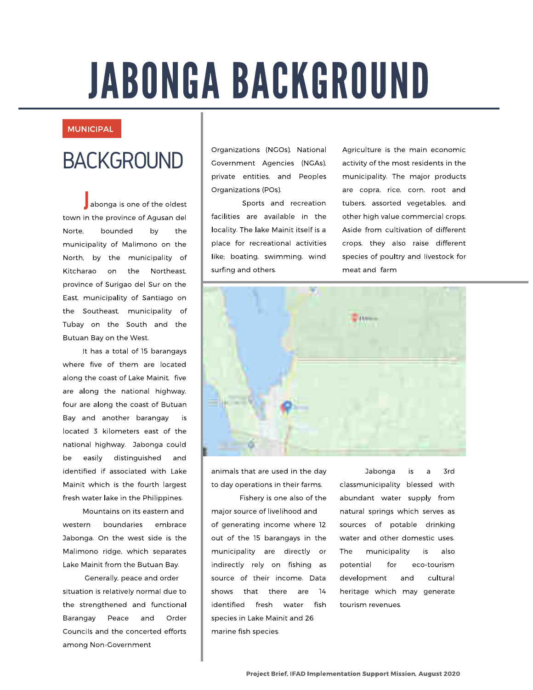## **JABONGA BACKGROUND**

#### **MUNICIPAL**

## **BACKGROUND**

abonga is one of the oldest town in the province of Agusan del Norte. bounded bv the municipality of Malimono on the North, by the municipality of Kitcharao on the Northeast, province of Surigao del Sur on the East, municipality of Santiago on the Southeast, municipality of Tubay on the South and the Butuan Bay on the West.

It has a total of 15 barangays where five of them are located along the coast of Lake Mainit. five are along the national highway, four are along the coast of Butuan Bay and another barangay is located 3 kilometers east of the national highway. Jabonga could distinguished be easily and identified if associated with Lake Mainit which is the fourth largest fresh water lake in the Philippines.

Mountains on its eastern and boundaries western embrace Jabonga. On the west side is the Malimono ridge, which separates Lake Mainit from the Butuan Bay.

Generally, peace and order situation is relatively normal due to the strengthened and functional Barangay Peace and Order Councils and the concerted efforts among Non-Government

Organizations (NGOs), National Government Agencies (NGAs), private entities, and Peoples Organizations (POs).

Sports and recreation facilities are available in the locality. The lake Mainit itself is a place for recreational activities like; boating, swimming, wind surfing and others.

Agriculture is the main economic activity of the most residents in the municipality. The major products are copra, rice, corn, root and tubers, assorted vegetables, and other high value commercial crops. Aside from cultivation of different crops, they also raise different species of poultry and livestock for meat and farm



animals that are used in the day to day operations in their farms.

Fishery is one also of the major source of livelihood and of generating income where 12 out of the 15 barangays in the municipality are directly or indirectly rely on fishing as source of their income. Data shows that there  $14$ are identified fresh water fish species in Lake Mainit and 26 marine fish species.

Jabonga is 3rd a classmunicipality blessed with abundant water supply from natural springs which serves as sources of potable drinking water and other domestic uses. The municipality is also potential  $for$ eco-tourism cultural development and heritage which may generate tourism revenues.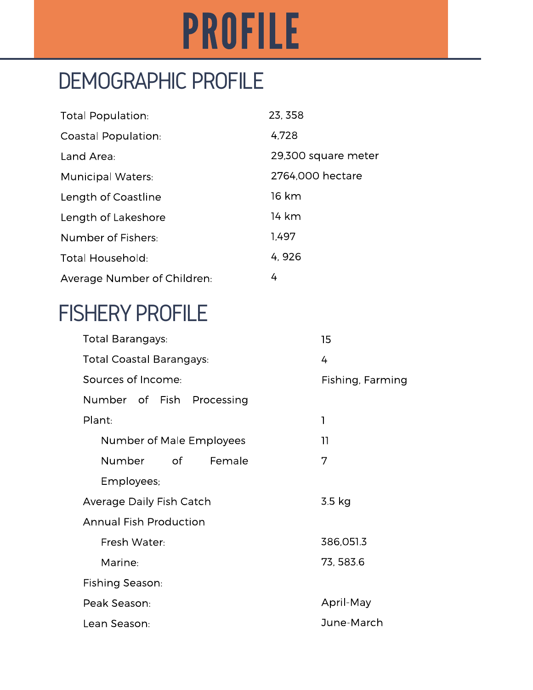## **PROFILE**

## **DEMOGRAPHIC PROFILE**

| <b>Total Population:</b>    | 23, 358             |
|-----------------------------|---------------------|
| Coastal Population:         | 4,728               |
| Land Area:                  | 29,300 square meter |
| <b>Municipal Waters:</b>    | 2764,000 hectare    |
| Length of Coastline         | 16 km               |
| Length of Lakeshore         | 14 km               |
| Number of Fishers:          | 1.497               |
| <b>Total Household:</b>     | 4,926               |
| Average Number of Children: | 4                   |

## **FISHERY PROFILE**

| Total Barangays:                | 15               |
|---------------------------------|------------------|
| <b>Total Coastal Barangays:</b> | 4                |
| Sources of Income:              | Fishing, Farming |
| Number of Fish Processing       |                  |
| Plant:                          | 1                |
| Number of Male Employees        | 11               |
| Number of<br>Female             | 7                |
| Employees;                      |                  |
| Average Daily Fish Catch        | 3.5 kg           |
| <b>Annual Fish Production</b>   |                  |
| Fresh Water:                    | 386,051.3        |
| Marine:                         | 73, 583.6        |
| Fishing Season:                 |                  |
| Peak Season:                    | April-May        |
| Lean Season:                    | June-March       |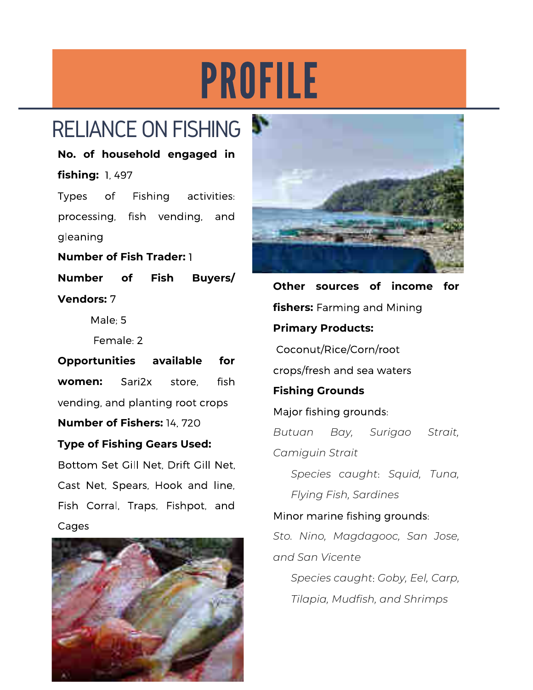## PROFILE

## RELIANCE ON FISHING

No. of household engaged in fishing: 1, 497

**Types** of Fishing activities: processing, fish vending, and gleaning

**Number of Fish Trader: 1 Number** of **Fish** Buyers/ **Vendors: 7** 

Male:  $5$ 

Female: 2

**Opportunities** available for Sari2x fish women: store. vending, and planting root crops **Number of Fishers: 14, 720** 

## **Type of Fishing Gears Used:**

Bottom Set Gill Net. Drift Gill Net. Cast Net, Spears, Hook and line, Fish Corral, Traps, Fishpot, and Cages





Other sources of income for **fishers:** Farming and Mining **Primary Products:** Coconut/Rice/Corn/root crops/fresh and sea waters **Fishing Grounds** Major fishing grounds: Bay, Surigao Butuan Strait. Camiguin Strait Species caught: Squid, Tuna, Flying Fish, Sardines Minor marine fishing grounds: Sto. Nino, Magdagooc, San Jose, and San Vicente Species caught: Goby, Eel, Carp,

Tilapia, Mudfish, and Shrimps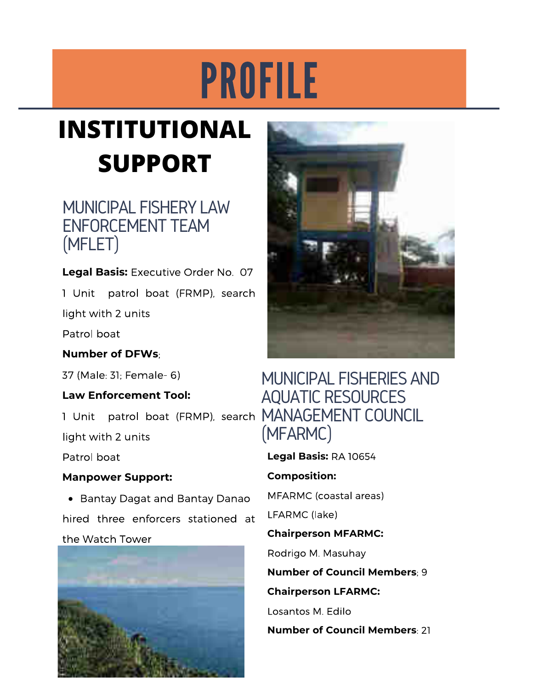## PROFILE

## **INSTITUTIONAL SUPPORT**

## **MUNICIPAL FISHERY LAW ENFORCEMENT TEAM** (MFLET)

Legal Basis: Executive Order No. 07

1 Unit patrol boat (FRMP), search

light with 2 units

Patrol boat

**Number of DFWs:** 

37 (Male: 31: Female- 6)

## **Law Enforcement Tool:**

1 Unit patrol boat (FRMP), search MANAGEMENT COUNCIL

light with 2 units

Patrol boat

## **Manpower Support:**

• Bantay Dagat and Bantay Danao hired three enforcers stationed at the Watch Tower





## MUNICIPAL FISHERIES AND **AQUATIC RESOURCES** (MFARMC)

Legal Basis: RA 10654

## **Composition:**

MFARMC (coastal areas)

LFARMC (lake)

## **Chairperson MFARMC:**

Rodrigo M. Masuhay

**Number of Council Members: 9** 

## **Chairperson LFARMC:**

Losantos M. Edilo

**Number of Council Members: 21**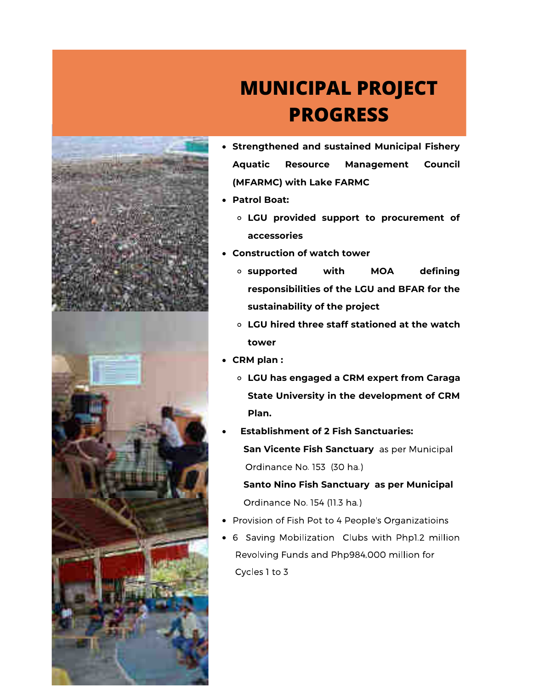

## **MUNICIPAL PROJECT PROGRESS**

- Strengthened and sustained Municipal Fishery **Aquatic** Resource **Management** Council (MFARMC) with Lake FARMC
- Patrol Boat:
	- o LGU provided support to procurement of accessories
- Construction of watch tower
	- **o** supported with **MOA** defining responsibilities of the LGU and BFAR for the sustainability of the project
	- LGU hired three staff stationed at the watch tower
- CRM plan:
	- o LGU has engaged a CRM expert from Caraga State University in the development of CRM Plan.
- **Establishment of 2 Fish Sanctuaries:** San Vicente Fish Sanctuary as per Municipal Ordinance No. 153 (30 ha.)

Santo Nino Fish Sanctuary as per Municipal Ordinance No. 154 (11.3 ha.)

- Provision of Fish Pot to 4 People's Organizatioins
- 6 Saving Mobilization Clubs with Php1.2 million Revolving Funds and Php984,000 million for Cycles 1 to 3